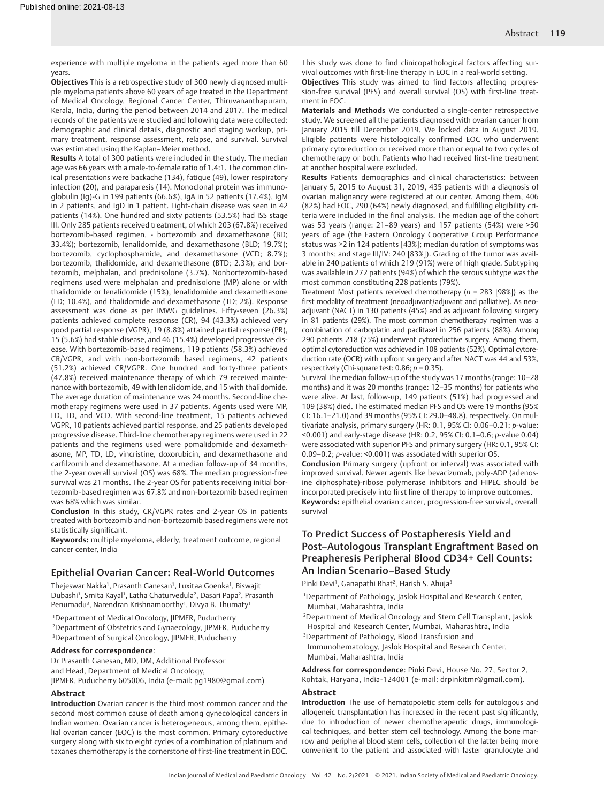experience with multiple myeloma in the patients aged more than 60 years.

**Objectives** This is a retrospective study of 300 newly diagnosed multiple myeloma patients above 60 years of age treated in the Department of Medical Oncology, Regional Cancer Center, Thiruvananthapuram, Kerala, India, during the period between 2014 and 2017. The medical records of the patients were studied and following data were collected: demographic and clinical details, diagnostic and staging workup, primary treatment, response assessment, relapse, and survival. Survival was estimated using the Kaplan–Meier method.

**Results** A total of 300 patients were included in the study. The median age was 66 years with a male-to-female ratio of 1.4:1. The common clinical presentations were backache (134), fatigue (49), lower respiratory infection (20), and paraparesis (14). Monoclonal protein was immunoglobulin (Ig)-G in 199 patients (66.6%), IgA in 52 patients (17.4%), IgM in 2 patients, and IgD in 1 patient. Light-chain disease was seen in 42 patients (14%). One hundred and sixty patients (53.5%) had ISS stage III. Only 285 patients received treatment, of which 203 (67.8%) received bortezomib-based regimen, - bortezomib and dexamethasone (BD; 33.4%); bortezomib, lenalidomide, and dexamethasone (BLD; 19.7%); bortezomib, cyclophosphamide, and dexamethasone (VCD; 8.7%); bortezomib, thalidomide, and dexamethasone (BTD; 2.3%); and bortezomib, melphalan, and prednisolone (3.7%). Nonbortezomib-based regimens used were melphalan and prednisolone (MP) alone or with thalidomide or lenalidomide (15%), lenalidomide and dexamethasone (LD; 10.4%), and thalidomide and dexamethasone (TD; 2%). Response assessment was done as per IMWG guidelines. Fifty-seven (26.3%) patients achieved complete response (CR), 94 (43.3%) achieved very good partial response (VGPR), 19 (8.8%) attained partial response (PR), 15 (5.6%) had stable disease, and 46 (15.4%) developed progressive disease. With bortezomib-based regimens, 119 patients (58.3%) achieved CR/VGPR, and with non-bortezomib based regimens, 42 patients (51.2%) achieved CR/VGPR. One hundred and forty-three patients (47.8%) received maintenance therapy of which 79 received maintenance with bortezomib, 49 with lenalidomide, and 15 with thalidomide. The average duration of maintenance was 24 months. Second-line chemotherapy regimens were used in 37 patients. Agents used were MP, LD, TD, and VCD. With second-line treatment, 15 patients achieved VGPR, 10 patients achieved partial response, and 25 patients developed progressive disease. Third-line chemotherapy regimens were used in 22 patients and the regimens used were pomalidomide and dexamethasone, MP, TD, LD, vincristine, doxorubicin, and dexamethasone and carfilzomib and dexamethasone. At a median follow-up of 34 months, the 2-year overall survival (OS) was 68%. The median progression-free survival was 21 months. The 2-year OS for patients receiving initial bortezomib-based regimen was 67.8% and non-bortezomib based regimen was 68% which was similar.

**Conclusion** In this study, CR/VGPR rates and 2-year OS in patients treated with bortezomib and non-bortezomib based regimens were not statistically significant.

**Keywords:** multiple myeloma, elderly, treatment outcome, regional cancer center, India

### Epithelial Ovarian Cancer: Real-World Outcomes

Thejeswar Nakka<sup>1</sup>, Prasanth Ganesan<sup>1</sup>, Luxitaa Goenka<sup>1</sup>, Biswajit Dubashi<sup>1</sup>, Smita Kayal<sup>1</sup>, Latha Chaturvedula<sup>2</sup>, Dasari Papa<sup>2</sup>, Prasanth Penumadu<sup>3</sup>, Narendran Krishnamoorthy<sup>1</sup>, Divya B. Thumaty<sup>1</sup>

1 Department of Medical Oncology, JIPMER, Puducherry

2 Department of Obstetrics and Gynaecology, JIPMER, Puducherry 3 Department of Surgical Oncology, JIPMER, Puducherry

## **Address for correspondence**:

Dr Prasanth Ganesan, MD, DM, Additional Professor and Head, Department of Medical Oncology, JIPMER, Puducherry 605006, India (e-mail: pg1980@gmail.com)

### **Abstract**

**Introduction** Ovarian cancer is the third most common cancer and the second most common cause of death among gynecological cancers in Indian women. Ovarian cancer is heterogeneous, among them, epithelial ovarian cancer (EOC) is the most common. Primary cytoreductive surgery along with six to eight cycles of a combination of platinum and taxanes chemotherapy is the cornerstone of first-line treatment in EOC.

This study was done to find clinicopathological factors affecting survival outcomes with first-line therapy in EOC in a real-world setting.

**Objectives** This study was aimed to find factors affecting progression-free survival (PFS) and overall survival (OS) with first-line treatment in EOC.

**Materials and Methods** We conducted a single-center retrospective study. We screened all the patients diagnosed with ovarian cancer from January 2015 till December 2019. We locked data in August 2019. Eligible patients were histologically confirmed EOC who underwent primary cytoreduction or received more than or equal to two cycles of chemotherapy or both. Patients who had received first-line treatment at another hospital were excluded.

**Results** Patients demographics and clinical characteristics: between January 5, 2015 to August 31, 2019, 435 patients with a diagnosis of ovarian malignancy were registered at our center. Among them, 406 (82%) had EOC, 290 (64%) newly diagnosed, and fulfilling eligibility criteria were included in the final analysis. The median age of the cohort was 53 years (range: 21–89 years) and 157 patients (54%) were >50 years of age (the Eastern Oncology Cooperative Group Performance status was ≥2 in 124 patients [43%]; median duration of symptoms was 3 months; and stage III/IV: 240 [83%]). Grading of the tumor was available in 240 patients of which 219 (91%) were of high grade. Subtyping was available in 272 patients (94%) of which the serous subtype was the most common constituting 228 patients (79%).

Treatment Most patients received chemotherapy (*n* = 283 [98%]) as the first modality of treatment (neoadjuvant/adjuvant and palliative). As neoadjuvant (NACT) in 130 patients (45%) and as adjuvant following surgery in 81 patients (29%). The most common chemotherapy regimen was a combination of carboplatin and paclitaxel in 256 patients (88%). Among 290 patients 218 (75%) underwent cytoreductive surgery. Among them, optimal cytoreduction was achieved in 108 patients (52%). Optimal cytoreduction rate (OCR) with upfront surgery and after NACT was 44 and 53%, respectively (Chi-square test: 0.86; *p* = 0.35).

Survival The median follow-up of the study was 17 months (range: 10–28 months) and it was 20 months (range: 12–35 months) for patients who were alive. At last, follow-up, 149 patients (51%) had progressed and 109 (38%) died. The estimated median PFS and OS were 19 months (95% CI: 16.1–21.0) and 39 months (95% CI: 29.0–48.8), respectively. On multivariate analysis, primary surgery (HR: 0.1, 95% CI: 0.06–0.21; *p*-value: <0.001) and early-stage disease (HR: 0.2, 95% CI: 0.1–0.6; *p*-value 0.04) were associated with superior PFS and primary surgery (HR: 0.1, 95% CI: 0.09–0.2; *p*-value: <0.001) was associated with superior OS.

**Conclusion** Primary surgery (upfront or interval) was associated with improved survival. Newer agents like bevacizumab, poly-ADP (adenosine diphosphate)-ribose polymerase inhibitors and HIPEC should be incorporated precisely into first line of therapy to improve outcomes. **Keywords:** epithelial ovarian cancer, progression-free survival, overall survival

# To Predict Success of Postapheresis Yield and Post–Autologous Transplant Engraftment Based on Preapheresis Peripheral Blood CD34+ Cell Counts: An Indian Scenario–Based Study

Pinki Devi<sup>1</sup>, Ganapathi Bhat<sup>2</sup>, Harish S. Ahuja<sup>3</sup>

- 1 Department of Pathology, Jaslok Hospital and Research Center, Mumbai, Maharashtra, India
- 2 Department of Medical Oncology and Stem Cell Transplant, Jaslok Hospital and Research Center, Mumbai, Maharashtra, India
- 3 Department of Pathology, Blood Transfusion and Immunohematology, Jaslok Hospital and Research Center, Mumbai, Maharashtra, India

**Address for correspondence**: Pinki Devi, House No. 27, Sector 2, Rohtak, Haryana, India-124001 (e-mail: drpinkitmr@gmail.com).

#### **Abstract**

**Introduction** The use of hematopoietic stem cells for autologous and allogeneic transplantation has increased in the recent past significantly, due to introduction of newer chemotherapeutic drugs, immunological techniques, and better stem cell technology. Among the bone marrow and peripheral blood stem cells, collection of the latter being more convenient to the patient and associated with faster granulocyte and